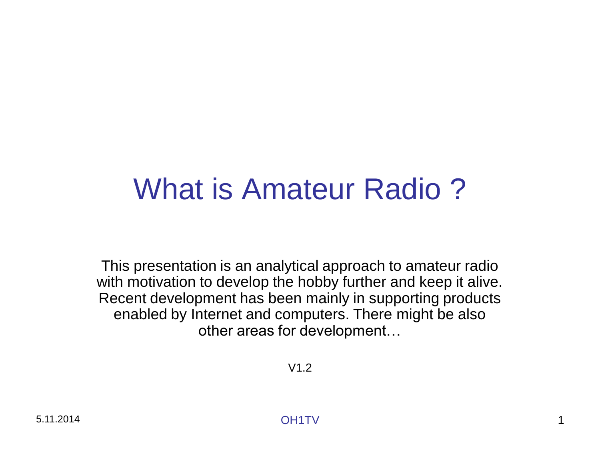# What is Amateur Radio ?

This presentation is an analytical approach to amateur radio with motivation to develop the hobby further and keep it alive. Recent development has been mainly in supporting products enabled by Internet and computers. There might be also other areas for development…

V1.2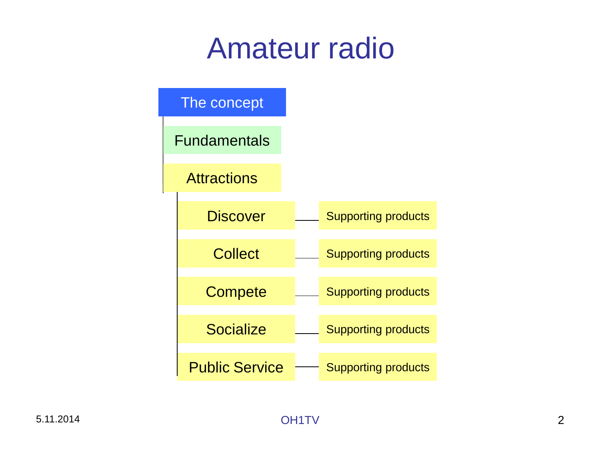# Amateur radio

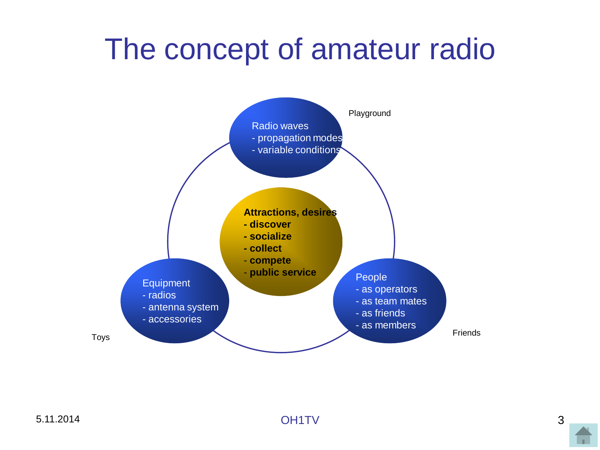# The concept of amateur radio

<span id="page-2-0"></span>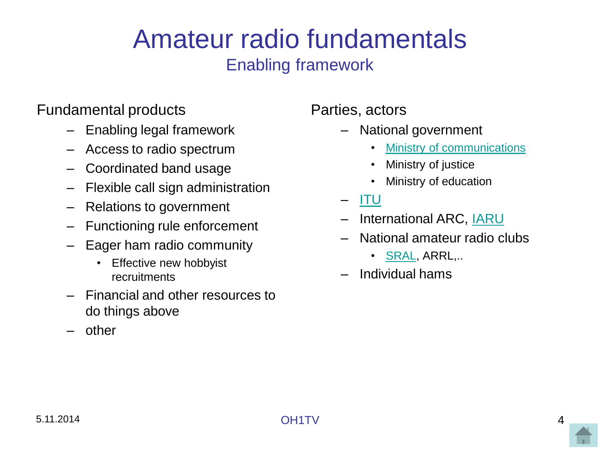# Amateur radio fundamentals

## Enabling framework

## Fundamental products

- Enabling legal framework
- Access to radio spectrum
- Coordinated band usage
- Flexible call sign administration
- Relations to government
- Functioning rule enforcement
- Eager ham radio community
	- Effective new hobbyist recruitments
- Financial and other resources to do things above
- <span id="page-3-0"></span>– other

## Parties, actors

- National government
	- [Ministry of communications](http://www.ficora.fi/en/etusivu.html)
	- Ministry of justice
	- Ministry of education
- [ITU](http://www.itu.int/en/Pages/default.aspx)
- International ARC, **IARU**
- National amateur radio clubs
	- [SRAL](http://www.sral.fi/), ARRL,..
- Individual hams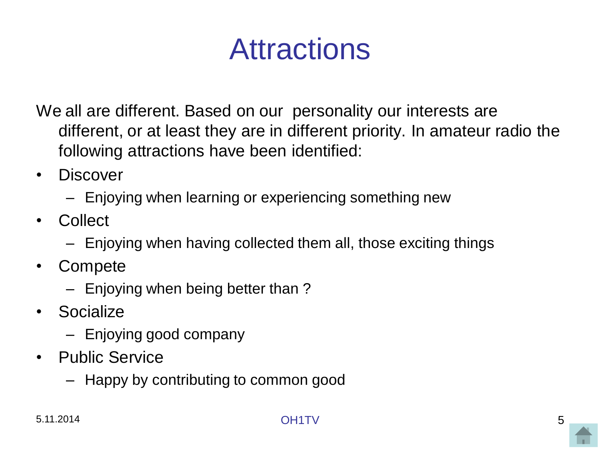# Attractions

We all are different. Based on our personality our interests are different, or at least they are in different priority. In amateur radio the following attractions have been identified:

- Discover
	- Enjoying when learning or experiencing something new
- Collect
	- Enjoying when having collected them all, those exciting things
- Compete
	- Enjoying when being better than ?
- Socialize
	- Enjoying good company
- <span id="page-4-0"></span>• Public Service
	- Happy by contributing to common good

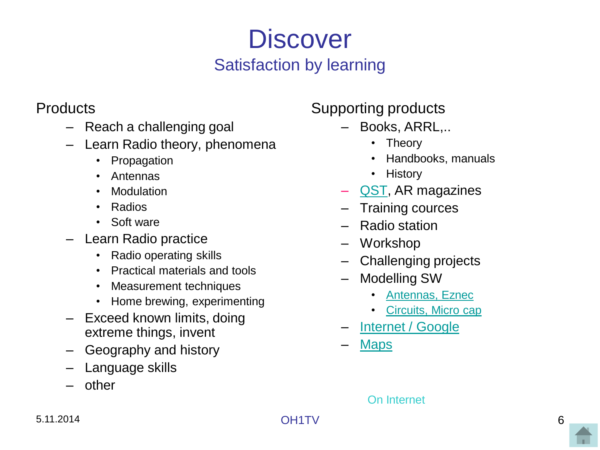# **Discover** Satisfaction by learning

## **Products**

- Reach a challenging goal
- Learn Radio theory, phenomena
	- Propagation
	- Antennas
	- Modulation
	- Radios
	- Soft ware
- Learn Radio practice
	- Radio operating skills
	- Practical materials and tools
	- Measurement techniques
	- Home brewing, experimenting
- Exceed known limits, doing extreme things, invent
- Geography and history
- Language skills
- <span id="page-5-0"></span>– other

Supporting products

- Books, ARRL,..
	- Theory
	- Handbooks, manuals
	- History
- [QST](http://www.arrl.org/qst), AR magazines
- Training cources
- Radio station
- Workshop
- Challenging projects
- Modelling SW
	- [Antennas, Eznec](http://www.eznec.com/)
	- [Circuits, Micro cap](http://www.spectrum-soft.com/demo.shtm)
- [Internet / Google](http://www.google.com/search?q=google&rls=com.microsoft:fi:IE-SearchBox&ie=UTF-8&oe=UTF-8&sourceid=ie7&rlz=1I7RNWE_enFI318)
- **[Maps](http://www.hamatlas.eu/index.php?setlang=ENG&lang=ENG)**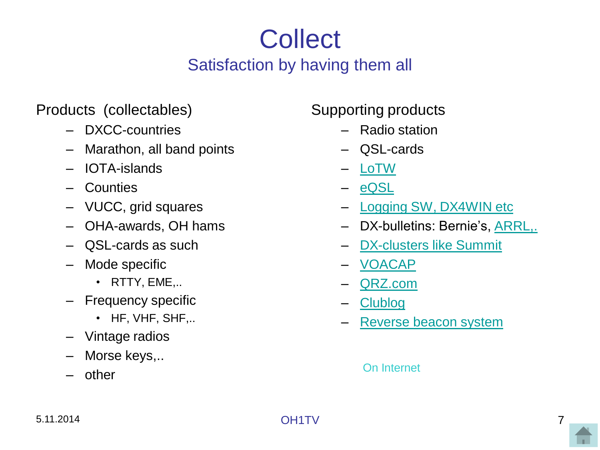# **Collect** Satisfaction by having them all

## Products (collectables)

- DXCC-countries
- Marathon, all band points
- IOTA-islands
- Counties
- VUCC, grid squares
- OHA-awards, OH hams
- QSL-cards as such
- Mode specific
	- RTTY, EME,..
- Frequency specific
	- HF, VHF, SHF,..
- Vintage radios
- Morse keys,..
- <span id="page-6-0"></span>– other

## Supporting products

- Radio station
- QSL-cards
- [LoTW](http://www.arrl.org/logbook-of-the-world)
- [eQSL](http://www.eqsl.cc/qslcard/Presentation.cfm)
- [Logging SW, DX4WIN etc](http://www.dx4win.com/)
- DX-bulletins: Bernie's, [ARRL,.](http://www.arrl.org/w1aw-bulletins-archive-dx)
- [DX-clusters like Summit](http://www.dxsummit.fi/DxSpots.aspx)
- [VOACAP](http://www.voacap.com/prediction.html)
- [QRZ.com](http://www.qrz.com/)
- [Clublog](https://secure.clublog.org/expeditions.php)
- [Reverse beacon system](http://www.reversebeacon.net/)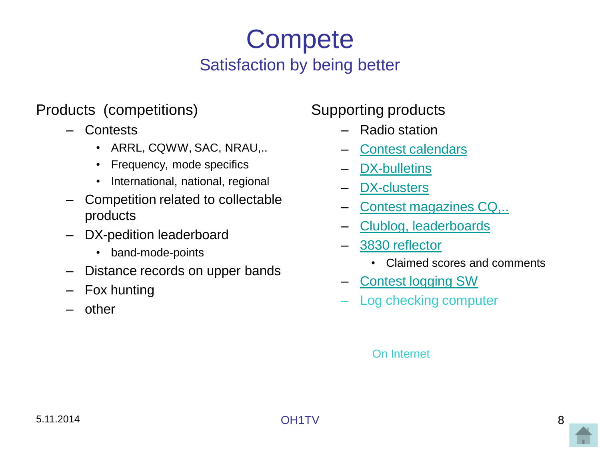# **Compete** Satisfaction by being better

### Products (competitions)

- Contests
	- ARRL, CQWW, SAC, NRAU,..
	- Frequency, mode specifics
	- International, national, regional
- Competition related to collectable products
- DX-pedition leaderboard
	- band-mode-points
- Distance records on upper bands
- Fox hunting
- <span id="page-7-0"></span>– other

## Supporting products

- Radio station
- [Contest calendars](http://www.sk3bg.se/contest/)
- [DX-bulletins](http://ng3k.com/misc/adxo.html)
- [DX-clusters](http://www.dxsummit.fi/DxSpots.aspx)
- [Contest magazines CQ,..](http://www.cq-amateur-radio.com/)
- [Clublog, leaderboards](https://secure.clublog.org/charts/?c=5X8C)
- [3830 reflector](http://lists.contesting.com/_3830/)
	- Claimed scores and comments
- [Contest logging SW](http://www.win-test.com/)
- Log checking computer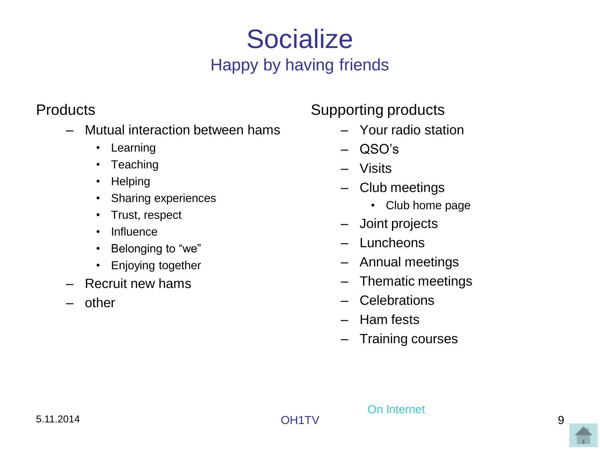# **Socialize** Happy by having friends

## **Products**

- Mutual interaction between hams
	- Learning
	- Teaching
	- Helping
	- Sharing experiences
	- Trust, respect
	- Influence
	- Belonging to "we"
	- Enjoying together
- Recruit new hams
- <span id="page-8-0"></span>– other

## Supporting products

- Your radio station
- QSO's
- Visits
- Club meetings
	- Club home page
- Joint projects
- Luncheons
- Annual meetings
- Thematic meetings
- Celebrations
- Ham fests
- Training courses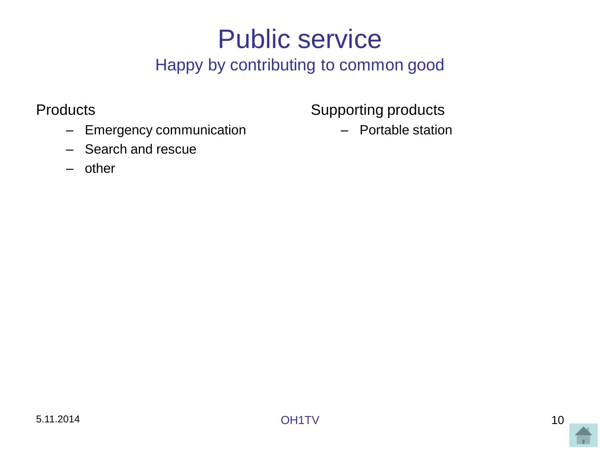# Public service

## Happy by contributing to common good

### **Products**

- Emergency communication
- Search and rescue
- <span id="page-9-0"></span>– other

Supporting products

– Portable station